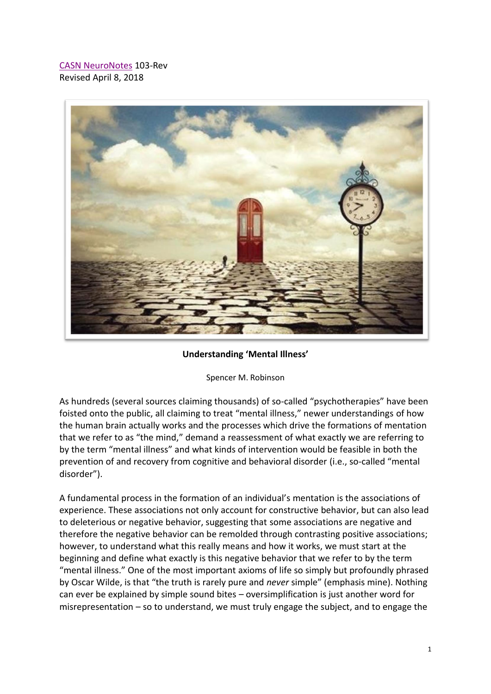[CASN NeuroNotes](https://www.brain-mind-behavior.org/casn-neuronotes) 103-Rev Revised April 8, 2018



**Understanding 'Mental Illness'**

Spencer M. Robinson

As hundreds (several sources claiming thousands) of so-called "psychotherapies" have been foisted onto the public, all claiming to treat "mental illness," newer understandings of how the human brain actually works and the processes which drive the formations of mentation that we refer to as "the mind," demand a reassessment of what exactly we are referring to by the term "mental illness" and what kinds of intervention would be feasible in both the prevention of and recovery from cognitive and behavioral disorder (i.e., so-called "mental disorder").

A fundamental process in the formation of an individual's mentation is the associations of experience. These associations not only account for constructive behavior, but can also lead to deleterious or negative behavior, suggesting that some associations are negative and therefore the negative behavior can be remolded through contrasting positive associations; however, to understand what this really means and how it works, we must start at the beginning and define what exactly is this negative behavior that we refer to by the term "mental illness." One of the most important axioms of life so simply but profoundly phrased by Oscar Wilde, is that "the truth is rarely pure and *never* simple" (emphasis mine). Nothing can ever be explained by simple sound bites – oversimplification is just another word for misrepresentation – so to understand, we must truly engage the subject, and to engage the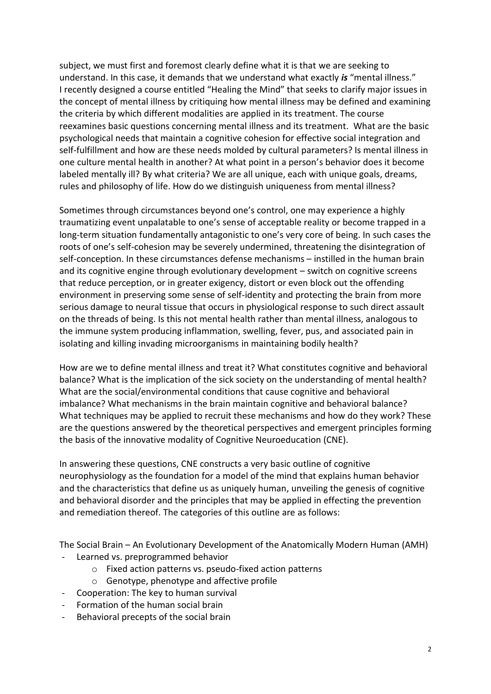subject, we must first and foremost clearly define what it is that we are seeking to understand. In this case, it demands that we understand what exactly *is* "mental illness." I recently designed a course entitled "Healing the Mind" that seeks to clarify major issues in the concept of mental illness by critiquing how mental illness may be defined and examining the criteria by which different modalities are applied in its treatment. The course reexamines basic questions concerning mental illness and its treatment. What are the basic psychological needs that maintain a cognitive cohesion for effective social integration and self-fulfillment and how are these needs molded by cultural parameters? Is mental illness in one culture mental health in another? At what point in a person's behavior does it become labeled mentally ill? By what criteria? We are all unique, each with unique goals, dreams, rules and philosophy of life. How do we distinguish uniqueness from mental illness?

Sometimes through circumstances beyond one's control, one may experience a highly traumatizing event unpalatable to one's sense of acceptable reality or become trapped in a long-term situation fundamentally antagonistic to one's very core of being. In such cases the roots of one's self-cohesion may be severely undermined, threatening the disintegration of self-conception. In these circumstances defense mechanisms – instilled in the human brain and its cognitive engine through evolutionary development – switch on cognitive screens that reduce perception, or in greater exigency, distort or even block out the offending environment in preserving some sense of self-identity and protecting the brain from more serious damage to neural tissue that occurs in physiological response to such direct assault on the threads of being. Is this not mental health rather than mental illness, analogous to the immune system producing inflammation, swelling, fever, pus, and associated pain in isolating and killing invading microorganisms in maintaining bodily health?

How are we to define mental illness and treat it? What constitutes cognitive and behavioral balance? What is the implication of the sick society on the understanding of mental health? What are the social/environmental conditions that cause cognitive and behavioral imbalance? What mechanisms in the brain maintain cognitive and behavioral balance? What techniques may be applied to recruit these mechanisms and how do they work? These are the questions answered by the theoretical perspectives and emergent principles forming the basis of the innovative modality of Cognitive Neuroeducation (CNE).

In answering these questions, CNE constructs a very basic outline of cognitive neurophysiology as the foundation for a model of the mind that explains human behavior and the characteristics that define us as uniquely human, unveiling the genesis of cognitive and behavioral disorder and the principles that may be applied in effecting the prevention and remediation thereof. The categories of this outline are as follows:

The Social Brain – An Evolutionary Development of the Anatomically Modern Human (AMH)

- Learned vs. preprogrammed behavior
	- o Fixed action patterns vs. pseudo-fixed action patterns
	- o Genotype, phenotype and affective profile
- Cooperation: The key to human survival
- Formation of the human social brain
- Behavioral precepts of the social brain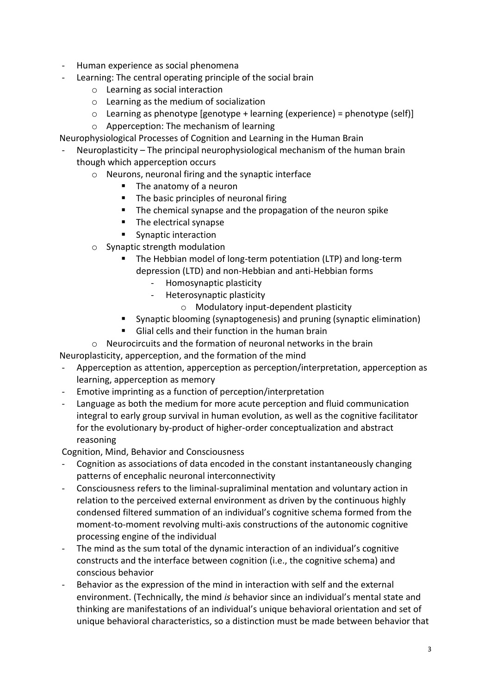- Human experience as social phenomena
- Learning: The central operating principle of the social brain
	- o Learning as social interaction
	- o Learning as the medium of socialization
	- $\circ$  Learning as phenotype [genotype + learning (experience) = phenotype (self)]
	- o Apperception: The mechanism of learning

Neurophysiological Processes of Cognition and Learning in the Human Brain

- Neuroplasticity The principal neurophysiological mechanism of the human brain though which apperception occurs
	- o Neurons, neuronal firing and the synaptic interface
		- The anatomy of a neuron
		- The basic principles of neuronal firing
		- The chemical synapse and the propagation of the neuron spike
		- The electrical synapse
		- Synaptic interaction
	- o Synaptic strength modulation
		- The Hebbian model of long-term potentiation (LTP) and long-term depression (LTD) and non-Hebbian and anti-Hebbian forms
			- Homosynaptic plasticity
			- Heterosynaptic plasticity
				- o Modulatory input-dependent plasticity
		- Synaptic blooming (synaptogenesis) and pruning (synaptic elimination)
		- Glial cells and their function in the human brain
	- o Neurocircuits and the formation of neuronal networks in the brain

Neuroplasticity, apperception, and the formation of the mind

- Apperception as attention, apperception as perception/interpretation, apperception as learning, apperception as memory
- Emotive imprinting as a function of perception/interpretation
- Language as both the medium for more acute perception and fluid communication integral to early group survival in human evolution, as well as the cognitive facilitator for the evolutionary by-product of higher-order conceptualization and abstract reasoning

Cognition, Mind, Behavior and Consciousness

- Cognition as associations of data encoded in the constant instantaneously changing patterns of encephalic neuronal interconnectivity
- Consciousness refers to the liminal-supraliminal mentation and voluntary action in relation to the perceived external environment as driven by the continuous highly condensed filtered summation of an individual's cognitive schema formed from the moment-to-moment revolving multi-axis constructions of the autonomic cognitive processing engine of the individual
- The mind as the sum total of the dynamic interaction of an individual's cognitive constructs and the interface between cognition (i.e., the cognitive schema) and conscious behavior
- Behavior as the expression of the mind in interaction with self and the external environment. (Technically, the mind *is* behavior since an individual's mental state and thinking are manifestations of an individual's unique behavioral orientation and set of unique behavioral characteristics, so a distinction must be made between behavior that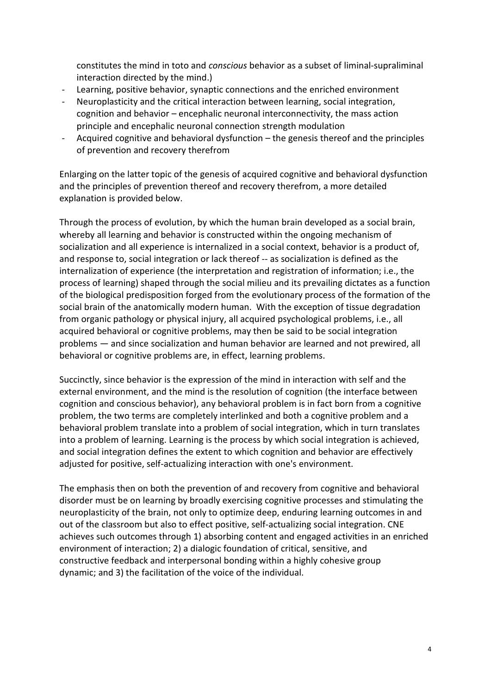constitutes the mind in toto and *conscious* behavior as a subset of liminal-supraliminal interaction directed by the mind.)

- Learning, positive behavior, synaptic connections and the enriched environment
- Neuroplasticity and the critical interaction between learning, social integration, cognition and behavior – encephalic neuronal interconnectivity, the mass action principle and encephalic neuronal connection strength modulation
- Acquired cognitive and behavioral dysfunction the genesis thereof and the principles of prevention and recovery therefrom

Enlarging on the latter topic of the genesis of acquired cognitive and behavioral dysfunction and the principles of prevention thereof and recovery therefrom, a more detailed explanation is provided below.

Through the process of evolution, by which the human brain developed as a social brain, whereby all learning and behavior is constructed within the ongoing mechanism of socialization and all experience is internalized in a social context, behavior is a product of, and response to, social integration or lack thereof -- as socialization is defined as the internalization of experience (the interpretation and registration of information; i.e., the process of learning) shaped through the social milieu and its prevailing dictates as a function of the biological predisposition forged from the evolutionary process of the formation of the social brain of the anatomically modern human. With the exception of tissue degradation from organic pathology or physical injury, all acquired psychological problems, i.e., all acquired behavioral or cognitive problems, may then be said to be social integration problems — and since socialization and human behavior are learned and not prewired, all behavioral or cognitive problems are, in effect, learning problems.

Succinctly, since behavior is the expression of the mind in interaction with self and the external environment, and the mind is the resolution of cognition (the interface between cognition and conscious behavior), any behavioral problem is in fact born from a cognitive problem, the two terms are completely interlinked and both a cognitive problem and a behavioral problem translate into a problem of social integration, which in turn translates into a problem of learning. Learning is the process by which social integration is achieved, and social integration defines the extent to which cognition and behavior are effectively adjusted for positive, self-actualizing interaction with one's environment.

The emphasis then on both the prevention of and recovery from cognitive and behavioral disorder must be on learning by broadly exercising cognitive processes and stimulating the neuroplasticity of the brain, not only to optimize deep, enduring learning outcomes in and out of the classroom but also to effect positive, self-actualizing social integration. CNE achieves such outcomes through 1) absorbing content and engaged activities in an enriched environment of interaction; 2) a dialogic foundation of critical, sensitive, and constructive feedback and interpersonal bonding within a highly cohesive group dynamic; and 3) the facilitation of the voice of the individual.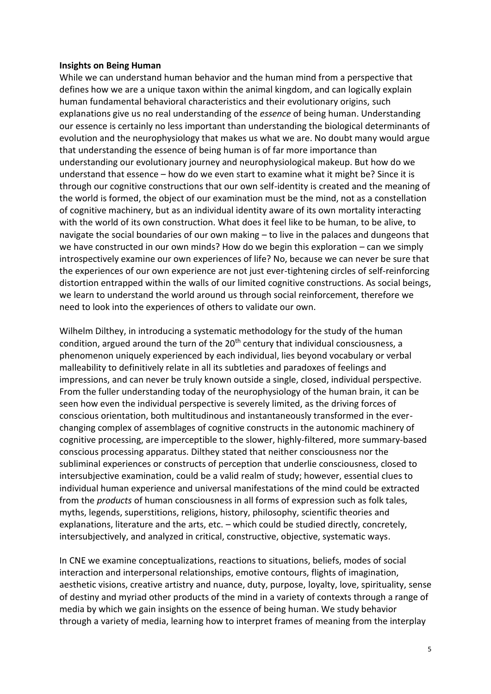## **Insights on Being Human**

While we can understand human behavior and the human mind from a perspective that defines how we are a unique taxon within the animal kingdom, and can logically explain human fundamental behavioral characteristics and their evolutionary origins, such explanations give us no real understanding of the *essence* of being human. Understanding our essence is certainly no less important than understanding the biological determinants of evolution and the neurophysiology that makes us what we are. No doubt many would argue that understanding the essence of being human is of far more importance than understanding our evolutionary journey and neurophysiological makeup. But how do we understand that essence – how do we even start to examine what it might be? Since it is through our cognitive constructions that our own self-identity is created and the meaning of the world is formed, the object of our examination must be the mind, not as a constellation of cognitive machinery, but as an individual identity aware of its own mortality interacting with the world of its own construction. What does it feel like to be human, to be alive, to navigate the social boundaries of our own making – to live in the palaces and dungeons that we have constructed in our own minds? How do we begin this exploration – can we simply introspectively examine our own experiences of life? No, because we can never be sure that the experiences of our own experience are not just ever-tightening circles of self-reinforcing distortion entrapped within the walls of our limited cognitive constructions. As social beings, we learn to understand the world around us through social reinforcement, therefore we need to look into the experiences of others to validate our own.

Wilhelm Dilthey, in introducing a systematic methodology for the study of the human condition, argued around the turn of the  $20<sup>th</sup>$  century that individual consciousness, a phenomenon uniquely experienced by each individual, lies beyond vocabulary or verbal malleability to definitively relate in all its subtleties and paradoxes of feelings and impressions, and can never be truly known outside a single, closed, individual perspective. From the fuller understanding today of the neurophysiology of the human brain, it can be seen how even the individual perspective is severely limited, as the driving forces of conscious orientation, both multitudinous and instantaneously transformed in the everchanging complex of assemblages of cognitive constructs in the autonomic machinery of cognitive processing, are imperceptible to the slower, highly-filtered, more summary-based conscious processing apparatus. Dilthey stated that neither consciousness nor the subliminal experiences or constructs of perception that underlie consciousness, closed to intersubjective examination, could be a valid realm of study; however, essential clues to individual human experience and universal manifestations of the mind could be extracted from the *products* of human consciousness in all forms of expression such as folk tales, myths, legends, superstitions, religions, history, philosophy, scientific theories and explanations, literature and the arts, etc. – which could be studied directly, concretely, intersubjectively, and analyzed in critical, constructive, objective, systematic ways.

In CNE we examine conceptualizations, reactions to situations, beliefs, modes of social interaction and interpersonal relationships, emotive contours, flights of imagination, aesthetic visions, creative artistry and nuance, duty, purpose, loyalty, love, spirituality, sense of destiny and myriad other products of the mind in a variety of contexts through a range of media by which we gain insights on the essence of being human. We study behavior through a variety of media, learning how to interpret frames of meaning from the interplay